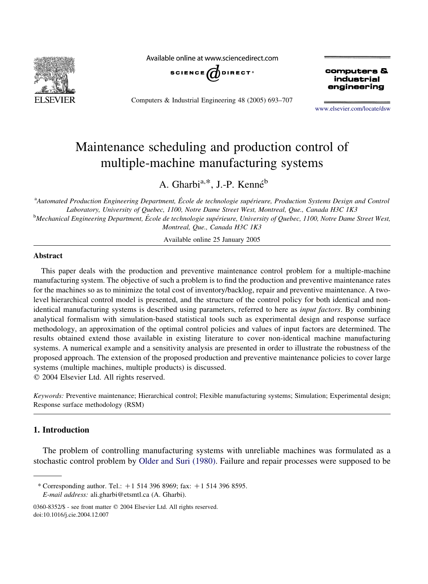

Available online at www.sciencedirect.com



Computers & Industrial Engineering 48 (2005) 693–707

computers & industrial engineering

[www.elsevier.com/locate/dsw](http://www.elsevier.com/locate/dsw)

## Maintenance scheduling and production control of multiple-machine manufacturing systems

A. Gharbi<sup>a,\*</sup>, J.-P. Kenné<sup>b</sup>

<sup>a</sup>Automated Production Engineering Department, École de technologie supérieure, Production Systems Design and Control Laboratory, University of Quebec, 1100, Notre Dame Street West, Montreal, Que., Canada H3C 1K3 <sup>b</sup>Mechanical Engineering Department, École de technologie supérieure, University of Quebec, 1100, Notre Dame Street West, Montreal, Que., Canada H3C 1K3

Available online 25 January 2005

## Abstract

This paper deals with the production and preventive maintenance control problem for a multiple-machine manufacturing system. The objective of such a problem is to find the production and preventive maintenance rates for the machines so as to minimize the total cost of inventory/backlog, repair and preventive maintenance. A twolevel hierarchical control model is presented, and the structure of the control policy for both identical and nonidentical manufacturing systems is described using parameters, referred to here as input factors. By combining analytical formalism with simulation-based statistical tools such as experimental design and response surface methodology, an approximation of the optimal control policies and values of input factors are determined. The results obtained extend those available in existing literature to cover non-identical machine manufacturing systems. A numerical example and a sensitivity analysis are presented in order to illustrate the robustness of the proposed approach. The extension of the proposed production and preventive maintenance policies to cover large systems (multiple machines, multiple products) is discussed.

 $Q$  2004 Elsevier Ltd. All rights reserved.

Keywords: Preventive maintenance; Hierarchical control; Flexible manufacturing systems; Simulation; Experimental design; Response surface methodology (RSM)

## 1. Introduction

The problem of controlling manufacturing systems with unreliable machines was formulated as a stochastic control problem by [Older and Suri \(1980\)](#page--1-0). Failure and repair processes were supposed to be

\* Corresponding author. Tel.:  $+1$  514 396 8969; fax:  $+1$  514 396 8595. E-mail address: ali.gharbi@etsmtl.ca (A. Gharbi).

<sup>0360-8352/\$ -</sup> see front matter © 2004 Elsevier Ltd. All rights reserved. doi:10.1016/j.cie.2004.12.007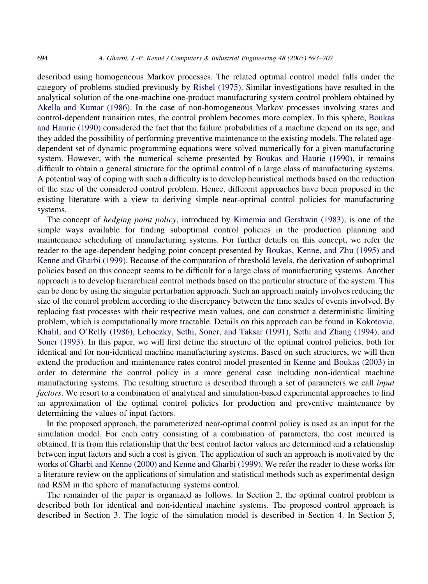described using homogeneous Markov processes. The related optimal control model falls under the category of problems studied previously by [Rishel \(1975\).](#page--1-0) Similar investigations have resulted in the analytical solution of the one-machine one-product manufacturing system control problem obtained by [Akella and Kumar \(1986\)](#page--1-0). In the case of non-homogeneous Markov processes involving states and control-dependent transition rates, the control problem becomes more complex. In this sphere, [Boukas](#page--1-0) [and Haurie \(1990\)](#page--1-0) considered the fact that the failure probabilities of a machine depend on its age, and they added the possibility of performing preventive maintenance to the existing models. The related agedependent set of dynamic programming equations were solved numerically for a given manufacturing system. However, with the numerical scheme presented by [Boukas and Haurie \(1990\)](#page--1-0), it remains difficult to obtain a general structure for the optimal control of a large class of manufacturing systems. A potential way of coping with such a difficulty is to develop heuristical methods based on the reduction of the size of the considered control problem. Hence, different approaches have been proposed in the existing literature with a view to deriving simple near-optimal control policies for manufacturing systems.

The concept of hedging point policy, introduced by [Kimemia and Gershwin \(1983\)](#page--1-0), is one of the simple ways available for finding suboptimal control policies in the production planning and maintenance scheduling of manufacturing systems. For further details on this concept, we refer the reader to the age-dependent hedging point concept presented by [Boukas, Kenne, and Zhu \(1995\) and](#page--1-0) [Kenne and Gharbi \(1999\).](#page--1-0) Because of the computation of threshold levels, the derivation of suboptimal policies based on this concept seems to be difficult for a large class of manufacturing systems. Another approach is to develop hierarchical control methods based on the particular structure of the system. This can be done by using the singular perturbation approach. Such an approach mainly involves reducing the size of the control problem according to the discrepancy between the time scales of events involved. By replacing fast processes with their respective mean values, one can construct a deterministic limiting problem, which is computationally more tractable. Details on this approach can be found in [Kokotovic,](#page--1-0) [Khalil, and O'Relly \(1986\), Lehoczky, Sethi, Soner, and Taksar \(1991\), Sethi and Zhang \(1994\), and](#page--1-0) [Soner \(1993\).](#page--1-0) In this paper, we will first define the structure of the optimal control policies, both for identical and for non-identical machine manufacturing systems. Based on such structures, we will then extend the production and maintenance rates control model presented in [Kenne and Boukas \(2003\)](#page--1-0) in order to determine the control policy in a more general case including non-identical machine manufacturing systems. The resulting structure is described through a set of parameters we call input factors. We resort to a combination of analytical and simulation-based experimental approaches to find an approximation of the optimal control policies for production and preventive maintenance by determining the values of input factors.

In the proposed approach, the parameterized near-optimal control policy is used as an input for the simulation model. For each entry consisting of a combination of parameters, the cost incurred is obtained. It is from this relationship that the best control factor values are determined and a relationship between input factors and such a cost is given. The application of such an approach is motivated by the works of [Gharbi and Kenne \(2000\) and Kenne and Gharbi \(1999\).](#page--1-0) We refer the reader to these works for a literature review on the applications of simulation and statistical methods such as experimental design and RSM in the sphere of manufacturing systems control.

The remainder of the paper is organized as follows. In Section 2, the optimal control problem is described both for identical and non-identical machine systems. The proposed control approach is described in Section 3. The logic of the simulation model is described in Section 4. In Section 5,